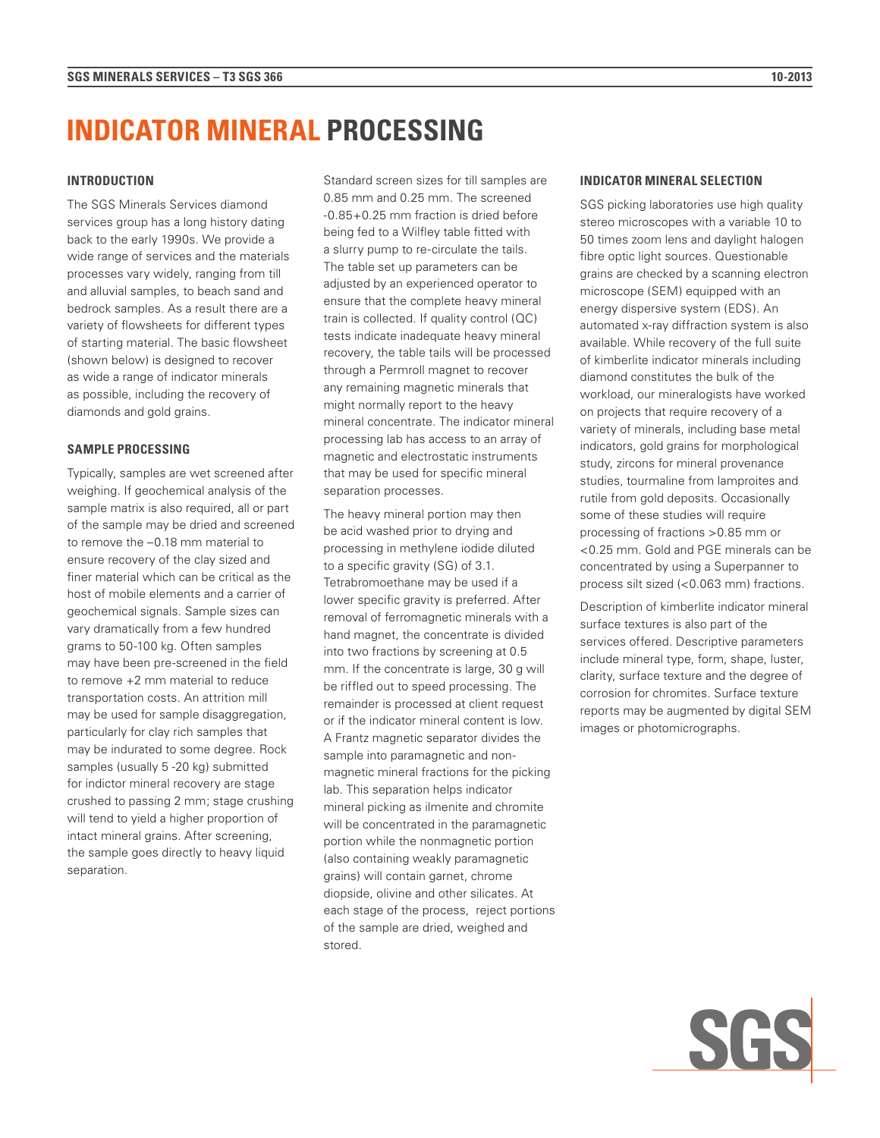# **INDICATOR MINERAL PROCESSING**

### **INTRODUCTION**

The SGS Minerals Services diamond services group has a long history dating back to the early 1990s. We provide a wide range of services and the materials processes vary widely, ranging from till and alluvial samples, to beach sand and bedrock samples. As a result there are a variety of flowsheets for different types of starting material. The basic flowsheet (shown below) is designed to recover as wide a range of indicator minerals as possible, including the recovery of diamonds and gold grains.

## **SAMPLE PROCESSING**

Typically, samples are wet screened after weighing. If geochemical analysis of the sample matrix is also required, all or part of the sample may be dried and screened to remove the –0.18 mm material to ensure recovery of the clay sized and finer material which can be critical as the host of mobile elements and a carrier of geochemical signals. Sample sizes can vary dramatically from a few hundred grams to 50-100 kg. Often samples may have been pre-screened in the field to remove +2 mm material to reduce transportation costs. An attrition mill may be used for sample disaggregation, particularly for clay rich samples that may be indurated to some degree. Rock samples (usually 5 -20 kg) submitted for indictor mineral recovery are stage crushed to passing 2 mm; stage crushing will tend to yield a higher proportion of intact mineral grains. After screening, the sample goes directly to heavy liquid separation.

Standard screen sizes for till samples are 0.85 mm and 0.25 mm. The screened -0.85+0.25 mm fraction is dried before being fed to a Wilfley table fitted with a slurry pump to re-circulate the tails. The table set up parameters can be adjusted by an experienced operator to ensure that the complete heavy mineral train is collected. If quality control (QC) tests indicate inadequate heavy mineral recovery, the table tails will be processed through a Permroll magnet to recover any remaining magnetic minerals that might normally report to the heavy mineral concentrate. The indicator mineral processing lab has access to an array of magnetic and electrostatic instruments that may be used for specific mineral separation processes.

The heavy mineral portion may then be acid washed prior to drying and processing in methylene iodide diluted to a specific gravity (SG) of 3.1. Tetrabromoethane may be used if a lower specific gravity is preferred. After removal of ferromagnetic minerals with a hand magnet, the concentrate is divided into two fractions by screening at 0.5 mm. If the concentrate is large, 30 g will be riffled out to speed processing. The remainder is processed at client request or if the indicator mineral content is low. A Frantz magnetic separator divides the sample into paramagnetic and nonmagnetic mineral fractions for the picking lab. This separation helps indicator mineral picking as ilmenite and chromite will be concentrated in the paramagnetic portion while the nonmagnetic portion (also containing weakly paramagnetic grains) will contain garnet, chrome diopside, olivine and other silicates. At each stage of the process, reject portions of the sample are dried, weighed and stored.

## **INDICATOR MINERAL SELECTION**

SGS picking laboratories use high quality stereo microscopes with a variable 10 to 50 times zoom lens and daylight halogen fibre optic light sources. Questionable grains are checked by a scanning electron microscope (SEM) equipped with an energy dispersive system (EDS). An automated x-ray diffraction system is also available. While recovery of the full suite of kimberlite indicator minerals including diamond constitutes the bulk of the workload, our mineralogists have worked on projects that require recovery of a variety of minerals, including base metal indicators, gold grains for morphological study, zircons for mineral provenance studies, tourmaline from lamproites and rutile from gold deposits. Occasionally some of these studies will require processing of fractions >0.85 mm or <0.25 mm. Gold and PGE minerals can be concentrated by using a Superpanner to process silt sized (<0.063 mm) fractions.

Description of kimberlite indicator mineral surface textures is also part of the services offered. Descriptive parameters include mineral type, form, shape, luster, clarity, surface texture and the degree of corrosion for chromites. Surface texture reports may be augmented by digital SEM images or photomicrographs.

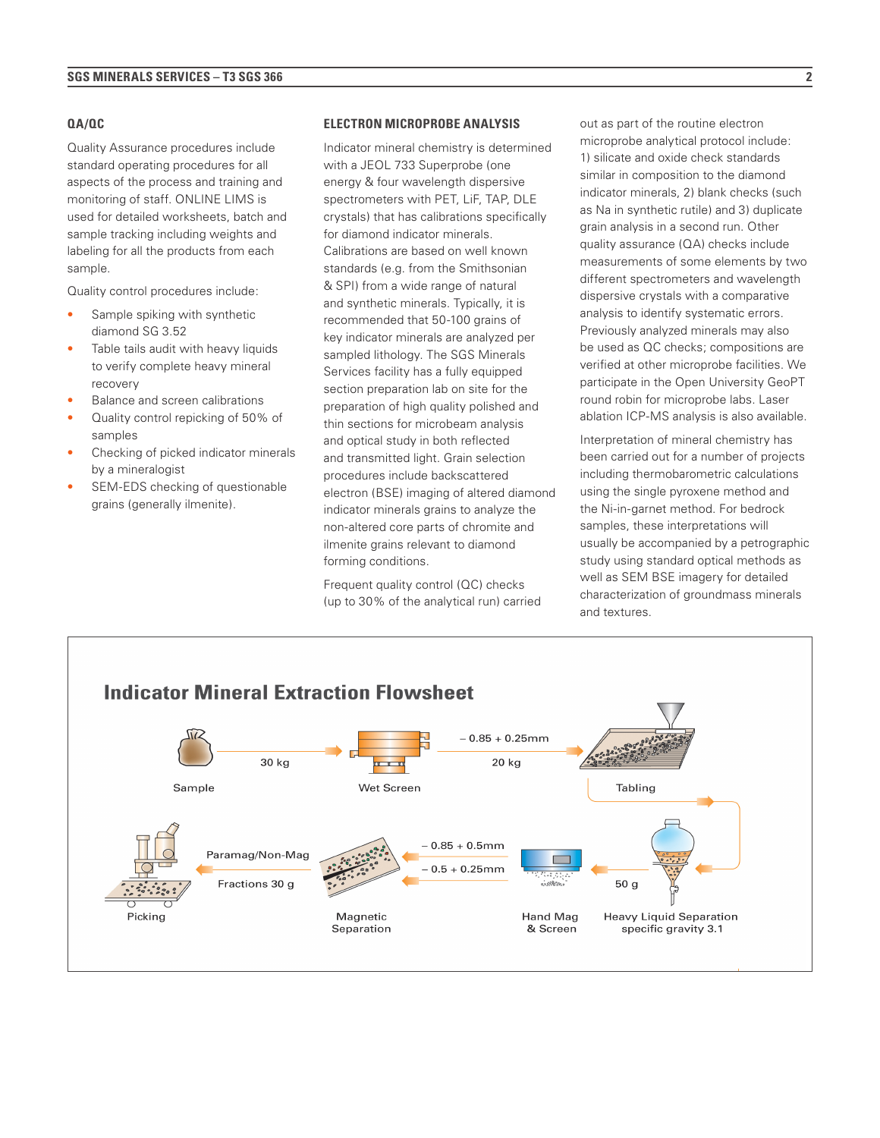#### **QA/QC**

Quality Assurance procedures include standard operating procedures for all aspects of the process and training and monitoring of staff. ONLINE LIMS is used for detailed worksheets, batch and sample tracking including weights and labeling for all the products from each sample.

Quality control procedures include:

- Sample spiking with synthetic diamond SG 3.52
- Table tails audit with heavy liquids to verify complete heavy mineral recovery
- Balance and screen calibrations
- Quality control repicking of 50% of samples
- Checking of picked indicator minerals by a mineralogist
- SEM-EDS checking of questionable grains (generally ilmenite).

#### **ELECTRON MICROPROBE ANALYSIS**

Indicator mineral chemistry is determined with a JEOL 733 Superprobe (one energy & four wavelength dispersive spectrometers with PET, LiF, TAP, DLE crystals) that has calibrations specifically for diamond indicator minerals. Calibrations are based on well known standards (e.g. from the Smithsonian & SPI) from a wide range of natural and synthetic minerals. Typically, it is recommended that 50-100 grains of key indicator minerals are analyzed per sampled lithology. The SGS Minerals Services facility has a fully equipped section preparation lab on site for the preparation of high quality polished and thin sections for microbeam analysis and optical study in both reflected and transmitted light. Grain selection procedures include backscattered electron (BSE) imaging of altered diamond indicator minerals grains to analyze the non-altered core parts of chromite and ilmenite grains relevant to diamond forming conditions.

Frequent quality control (QC) checks (up to 30% of the analytical run) carried

out as part of the routine electron microprobe analytical protocol include: 1) silicate and oxide check standards similar in composition to the diamond indicator minerals, 2) blank checks (such as Na in synthetic rutile) and 3) duplicate grain analysis in a second run. Other quality assurance (QA) checks include measurements of some elements by two different spectrometers and wavelength dispersive crystals with a comparative analysis to identify systematic errors. Previously analyzed minerals may also be used as QC checks; compositions are verified at other microprobe facilities. We participate in the Open University GeoPT round robin for microprobe labs. Laser ablation ICP-MS analysis is also available.

Interpretation of mineral chemistry has been carried out for a number of projects including thermobarometric calculations using the single pyroxene method and the Ni-in-garnet method. For bedrock samples, these interpretations will usually be accompanied by a petrographic study using standard optical methods as well as SEM BSE imagery for detailed characterization of groundmass minerals and textures.